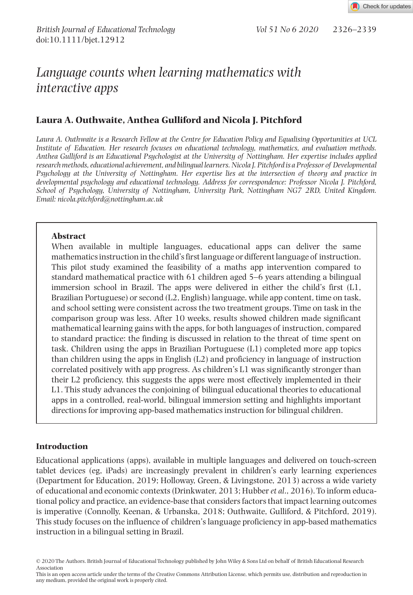# *Language counts when learning mathematics with interactive apps*

# **Laura A. Outhwaite, Anthea Gulliford and Nicola J. Pitchford**

*Laura A. Outhwaite is a Research Fellow at the Centre for Education Policy and Equalising Opportunities at UCL Institute of Education. Her research focuses on educational technology, mathematics, and evaluation methods. Anthea Gulliford is an Educational Psychologist at the University of Nottingham. Her expertise includes applied research methods, educational achievement, and bilingual learners. Nicola J. Pitchford is a Professor of Developmental Psychology at the University of Nottingham. Her expertise lies at the intersection of theory and practice in developmental psychology and educational technology. Address for correspondence: Professor Nicola J. Pitchford, School of Psychology, University of Nottingham, University Park, Nottingham NG7 2RD, United Kingdom. Email: [nicola.pitchford@nottingham.ac.uk](mailto:nicola.pitchford@nottingham.ac.uk)*

#### **Abstract**

When available in multiple languages, educational apps can deliver the same mathematics instruction in the child's first language or different language of instruction. This pilot study examined the feasibility of a maths app intervention compared to standard mathematical practice with 61 children aged 5–6 years attending a bilingual immersion school in Brazil. The apps were delivered in either the child's first (L1, Brazilian Portuguese) or second (L2, English) language, while app content, time on task, and school setting were consistent across the two treatment groups. Time on task in the comparison group was less. After 10 weeks, results showed children made significant mathematical learning gains with the apps, for both languages of instruction, compared to standard practice: the finding is discussed in relation to the threat of time spent on task. Children using the apps in Brazilian Portuguese (L1) completed more app topics than children using the apps in English (L2) and proficiency in language of instruction correlated positively with app progress. As children's L1 was significantly stronger than their L2 proficiency, this suggests the apps were most effectively implemented in their L1. This study advances the conjoining of bilingual educational theories to educational apps in a controlled, real-world, bilingual immersion setting and highlights important directions for improving app-based mathematics instruction for bilingual children.

## **Introduction**

Educational applications (apps), available in multiple languages and delivered on touch-screen tablet devices (eg, iPads) are increasingly prevalent in children's early learning experiences (Department for Education, 2019; Holloway, Green, & Livingstone, 2013) across a wide variety of educational and economic contexts (Drinkwater, 2013; Hubber *et al*., 2016). To inform educational policy and practice, an evidence-base that considers factors that impact learning outcomes is imperative (Connolly, Keenan, & Urbanska, 2018; Outhwaite, Gulliford, & Pitchford, 2019). This study focuses on the influence of children's language proficiency in app-based mathematics instruction in a bilingual setting in Brazil.

<sup>© 2020</sup> The Authors. British Journal of Educational Technology published by John Wiley & Sons Ltd on behalf of British Educational Research Association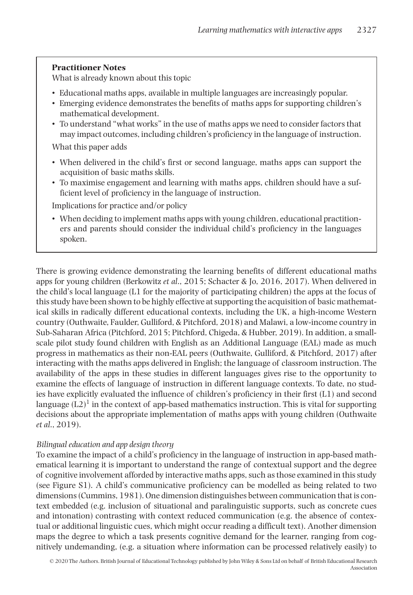#### **Practitioner Notes**

What is already known about this topic

- Educational maths apps, available in multiple languages are increasingly popular.
- Emerging evidence demonstrates the benefits of maths apps for supporting children's mathematical development.
- To understand "what works" in the use of maths apps we need to consider factors that may impact outcomes, including children's proficiency in the language of instruction.

What this paper adds

- When delivered in the child's first or second language, maths apps can support the acquisition of basic maths skills.
- To maximise engagement and learning with maths apps, children should have a sufficient level of proficiency in the language of instruction.

Implications for practice and/or policy

• When deciding to implement maths apps with young children, educational practitioners and parents should consider the individual child's proficiency in the languages spoken.

There is growing evidence demonstrating the learning benefits of different educational maths apps for young children (Berkowitz *et al*., 2015; Schacter & Jo, 2016, 2017). When delivered in the child's local language (L1 for the majority of participating children) the apps at the focus of this study have been shown to be highly effective at supporting the acquisition of basic mathematical skills in radically different educational contexts, including the UK, a high-income Western country (Outhwaite, Faulder, Gulliford, & Pitchford, 2018) and Malawi, a low-income country in Sub-Saharan Africa (Pitchford, 2015; Pitchford, Chigeda, & Hubber, 2019). In addition, a smallscale pilot study found children with English as an Additional Language (EAL) made as much progress in mathematics as their non-EAL peers (Outhwaite, Gulliford, & Pitchford, 2017) after interacting with the maths apps delivered in English; the language of classroom instruction. The availability of the apps in these studies in different languages gives rise to the opportunity to examine the effects of language of instruction in different language contexts. To date, no studies have explicitly evaluated the influence of children's proficiency in their first (L1) and second language  $(L2)^{1}$  in the context of app-based mathematics instruction. This is vital for supporting decisions about the appropriate implementation of maths apps with young children (Outhwaite *et al*., 2019).

# *Bilingual education and app design theory*

To examine the impact of a child's proficiency in the language of instruction in app-based mathematical learning it is important to understand the range of contextual support and the degree of cognitive involvement afforded by interactive maths apps, such as those examined in this study (see Figure S1). A child's communicative proficiency can be modelled as being related to two dimensions (Cummins, 1981). One dimension distinguishes between communication that is context embedded (e.g. inclusion of situational and paralinguistic supports, such as concrete cues and intonation) contrasting with context reduced communication (e.g. the absence of contextual or additional linguistic cues, which might occur reading a difficult text). Another dimension maps the degree to which a task presents cognitive demand for the learner, ranging from cognitively undemanding, (e.g. a situation where information can be processed relatively easily) to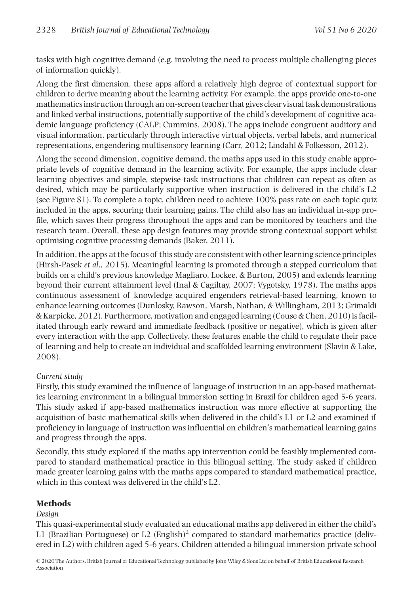tasks with high cognitive demand (e.g. involving the need to process multiple challenging pieces of information quickly).

Along the first dimension, these apps afford a relatively high degree of contextual support for children to derive meaning about the learning activity. For example, the apps provide one-to-one mathematics instruction through an on-screen teacher that gives clear visual task demonstrations and linked verbal instructions, potentially supportive of the child's development of cognitive academic language proficiency (CALP; Cummins, 2008). The apps include congruent auditory and visual information, particularly through interactive virtual objects, verbal labels, and numerical representations, engendering multisensory learning (Carr, 2012; Lindahl & Folkesson, 2012).

Along the second dimension, cognitive demand, the maths apps used in this study enable appropriate levels of cognitive demand in the learning activity. For example, the apps include clear learning objectives and simple, stepwise task instructions that children can repeat as often as desired, which may be particularly supportive when instruction is delivered in the child's L2 (see Figure S1). To complete a topic, children need to achieve 100% pass rate on each topic quiz included in the apps, securing their learning gains. The child also has an individual in-app profile, which saves their progress throughout the apps and can be monitored by teachers and the research team. Overall, these app design features may provide strong contextual support whilst optimising cognitive processing demands (Baker, 2011).

In addition, the apps at the focus of this study are consistent with other learning science principles (Hirsh-Pasek *et al*., 2015). Meaningful learning is promoted through a stepped curriculum that builds on a child's previous knowledge Magliaro, Lockee, & Burton, 2005) and extends learning beyond their current attainment level (Inal & Cagiltay, 2007; Vygotsky, 1978). The maths apps continuous assessment of knowledge acquired engenders retrieval-based learning, known to enhance learning outcomes (Dunlosky, Rawson, Marsh, Nathan, & Willingham, 2013; Grimaldi & Karpicke, 2012). Furthermore, motivation and engaged learning (Couse & Chen, 2010) is facilitated through early reward and immediate feedback (positive or negative), which is given after every interaction with the app. Collectively, these features enable the child to regulate their pace of learning and help to create an individual and scaffolded learning environment (Slavin & Lake, 2008).

## *Current study*

Firstly, this study examined the influence of language of instruction in an app-based mathematics learning environment in a bilingual immersion setting in Brazil for children aged 5-6 years. This study asked if app-based mathematics instruction was more effective at supporting the acquisition of basic mathematical skills when delivered in the child's L1 or L2 and examined if proficiency in language of instruction was influential on children's mathematical learning gains and progress through the apps.

Secondly, this study explored if the maths app intervention could be feasibly implemented compared to standard mathematical practice in this bilingual setting. The study asked if children made greater learning gains with the maths apps compared to standard mathematical practice, which in this context was delivered in the child's L2.

## **Methods**

*Design*

This quasi-experimental study evaluated an educational maths app delivered in either the child's L1 (Brazilian Portuguese) or L2 (English)<sup>2</sup> compared to standard mathematics practice (delivered in L2) with children aged 5-6 years. Children attended a bilingual immersion private school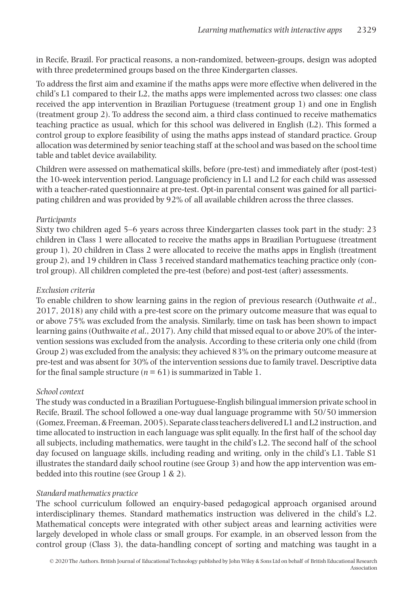in Recife, Brazil. For practical reasons, a non-randomized, between-groups, design was adopted with three predetermined groups based on the three Kindergarten classes.

To address the first aim and examine if the maths apps were more effective when delivered in the child's L1 compared to their L2, the maths apps were implemented across two classes: one class received the app intervention in Brazilian Portuguese (treatment group 1) and one in English (treatment group 2). To address the second aim, a third class continued to receive mathematics teaching practice as usual, which for this school was delivered in English (L2). This formed a control group to explore feasibility of using the maths apps instead of standard practice. Group allocation was determined by senior teaching staff at the school and was based on the school time table and tablet device availability.

Children were assessed on mathematical skills, before (pre-test) and immediately after (post-test) the 10-week intervention period. Language proficiency in L1 and L2 for each child was assessed with a teacher-rated questionnaire at pre-test. Opt-in parental consent was gained for all participating children and was provided by 92% of all available children across the three classes.

# *Participants*

Sixty two children aged 5–6 years across three Kindergarten classes took part in the study: 23 children in Class 1 were allocated to receive the maths apps in Brazilian Portuguese (treatment group 1), 20 children in Class 2 were allocated to receive the maths apps in English (treatment group 2), and 19 children in Class 3 received standard mathematics teaching practice only (control group). All children completed the pre-test (before) and post-test (after) assessments.

## *Exclusion criteria*

To enable children to show learning gains in the region of previous research (Outhwaite *et al*., 2017, 2018) any child with a pre-test score on the primary outcome measure that was equal to or above 75% was excluded from the analysis. Similarly, time on task has been shown to impact learning gains (Outhwaite *et al*., 2017). Any child that missed equal to or above 20% of the intervention sessions was excluded from the analysis. According to these criteria only one child (from Group 2) was excluded from the analysis; they achieved 83% on the primary outcome measure at pre-test and was absent for 30% of the intervention sessions due to family travel. Descriptive data for the final sample structure  $(n = 61)$  is summarized in Table 1.

# *School context*

The study was conducted in a Brazilian Portuguese-English bilingual immersion private school in Recife, Brazil. The school followed a one-way dual language programme with 50/50 immersion (Gomez, Freeman, & Freeman, 2005). Separate class teachers delivered L1 and L2 instruction, and time allocated to instruction in each language was split equally. In the first half of the school day all subjects, including mathematics, were taught in the child's L2. The second half of the school day focused on language skills, including reading and writing, only in the child's L1. Table S1 illustrates the standard daily school routine (see Group 3) and how the app intervention was embedded into this routine (see Group 1 & 2).

# *Standard mathematics practice*

The school curriculum followed an enquiry-based pedagogical approach organised around interdisciplinary themes. Standard mathematics instruction was delivered in the child's L2. Mathematical concepts were integrated with other subject areas and learning activities were largely developed in whole class or small groups. For example, in an observed lesson from the control group (Class 3), the data-handling concept of sorting and matching was taught in a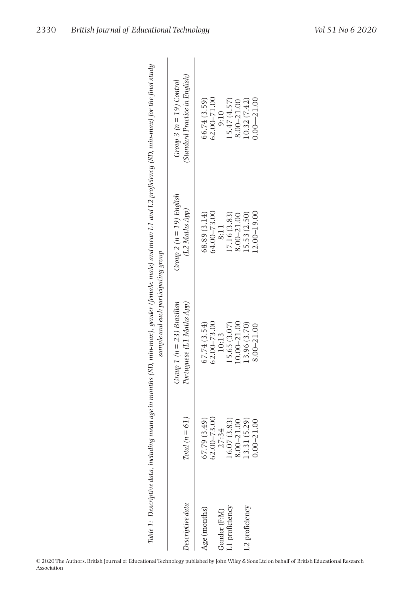|                  |                                                                | sample and each participating group |                           |                                |
|------------------|----------------------------------------------------------------|-------------------------------------|---------------------------|--------------------------------|
| Descriptive data | $= 61$                                                         | Group 1 ( $n = 23$ ) Brazilian      | Group $2(n = 19)$ English | (Standard Practice in English) |
|                  | Total(n)                                                       | Portuguese (L1 Maths App)           | (L2 Maths App)            | Group $3(n = 19)$ Control      |
| Age (months)     | $62.00 - 73.00$                                                | $62.00 - 73.00$                     | 64.00-73.00               | $62.00 - 71.00$                |
|                  | 67.79 (3.49)                                                   | 67.74 (3.54)                        | 68.89 (3.14)              | 66.74 (3.59)                   |
| L1 proficiency   | 16.07 (3.83)                                                   | 15.65 (3.07)                        | 17.16 (3.83)              | 15.47 (4.57)                   |
| Gender (F:M)     | 27:34                                                          | 10:13                               | 8:11                      | 9:10                           |
| L2 proficiency   | $\begin{array}{c} 8.00 - 21.00 \\ 13.31 \\ (5.29) \end{array}$ | $10.00 - 21.00$                     | $12.00 - 19.00$           | $0.00 - 21.00$                 |
|                  | 21.00                                                          | 13.96 (3.70)                        | 15.53 (2.50)              | 10.32(7.42)                    |
|                  | $-0.00 - 2$                                                    | 8.00-21.00                          | 8.00-21.00                | 8.00-21.00                     |
|                  |                                                                |                                     |                           |                                |

© 2020 The Authors. British Journal of Educational Technology published by John Wiley & Sons Ltd on behalf of British Educational Research Association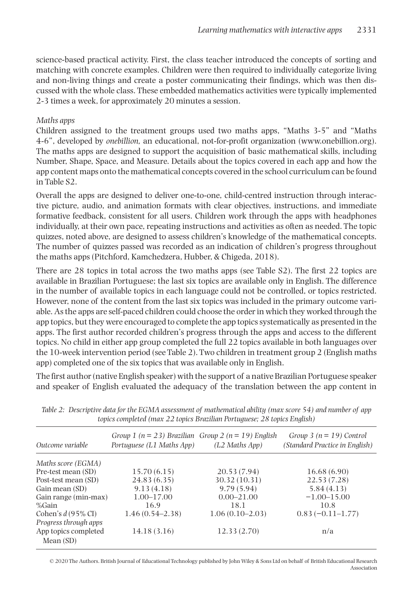science-based practical activity. First, the class teacher introduced the concepts of sorting and matching with concrete examples. Children were then required to individually categorize living and non-living things and create a poster communicating their findings, which was then discussed with the whole class. These embedded mathematics activities were typically implemented 2-3 times a week, for approximately 20 minutes a session.

## *Maths apps*

Children assigned to the treatment groups used two maths apps, "Maths 3-5" and "Maths 4-6", developed by *onebillion,* an educational, not-for-profit organization ([www.onebillion.org](http://www.onebillion.org)). The maths apps are designed to support the acquisition of basic mathematical skills, including Number, Shape, Space, and Measure. Details about the topics covered in each app and how the app content maps onto the mathematical concepts covered in the school curriculum can be found in Table S2.

Overall the apps are designed to deliver one-to-one, child-centred instruction through interactive picture, audio, and animation formats with clear objectives, instructions, and immediate formative feedback, consistent for all users. Children work through the apps with headphones individually, at their own pace, repeating instructions and activities as often as needed. The topic quizzes, noted above, are designed to assess children's knowledge of the mathematical concepts. The number of quizzes passed was recorded as an indication of children's progress throughout the maths apps (Pitchford, Kamchedzera, Hubber, & Chigeda, 2018).

There are 28 topics in total across the two maths apps (see Table S2). The first 22 topics are available in Brazilian Portuguese; the last six topics are available only in English. The difference in the number of available topics in each language could not be controlled, or topics restricted. However, none of the content from the last six topics was included in the primary outcome variable. As the apps are self-paced children could choose the order in which they worked through the app topics, but they were encouraged to complete the app topics systematically as presented in the apps. The first author recorded children's progress through the apps and access to the different topics. No child in either app group completed the full 22 topics available in both languages over the 10-week intervention period (see Table 2). Two children in treatment group 2 (English maths app) completed one of the six topics that was available only in English.

The first author (native English speaker) with the support of a native Brazilian Portuguese speaker and speaker of English evaluated the adequacy of the translation between the app content in

| Outcome variable                                             | Group 1 ( $n = 23$ ) Brazilian Group 2 ( $n = 19$ ) English<br>Portuguese (L1 Maths App) | $(L2$ Maths App)  | Group 3 ( $n = 19$ ) Control<br>(Standard Practice in English) |
|--------------------------------------------------------------|------------------------------------------------------------------------------------------|-------------------|----------------------------------------------------------------|
| Maths score (EGMA)                                           |                                                                                          |                   |                                                                |
| Pre-test mean (SD)                                           | 15.70(6.15)                                                                              | 20.53(7.94)       | 16.68(6.90)                                                    |
| Post-test mean (SD)                                          | 24.83(6.35)                                                                              | 30.32 (10.31)     | 22.53(7.28)                                                    |
| Gain mean (SD)                                               | 9.13(4.18)                                                                               | 9.79(5.94)        | 5.84(4.13)                                                     |
| Gain range (min-max)                                         | $1.00 - 17.00$                                                                           | $0.00 - 21.00$    | $-1.00 - 15.00$                                                |
| % $Gain$                                                     | 16.9                                                                                     | 18.1              | 10.8                                                           |
| Cohen's $d(95\% \text{ CI})$                                 | $1.46(0.54 - 2.38)$                                                                      | $1.06(0.10-2.03)$ | $0.83(-0.11-1.77)$                                             |
| Progress through apps<br>App topics completed<br>Mean $(SD)$ | 14.18(3.16)                                                                              | 12.33(2.70)       | n/a                                                            |
|                                                              |                                                                                          |                   |                                                                |

*Table 2: Descriptive data for the EGMA assessment of mathematical ability (max score 54) and number of app topics completed (max 22 topics Brazilian Portuguese; 28 topics English)*

© 2020 The Authors. British Journal of Educational Technology published by John Wiley & Sons Ltd on behalf of British Educational Research Association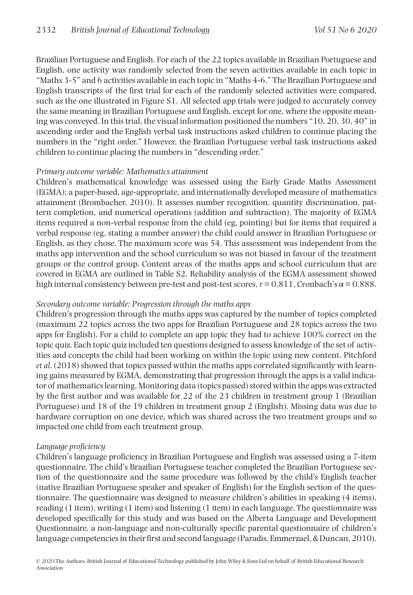Brazilian Portuguese and English. For each of the 22 topics available in Brazilian Portuguese and English, one activity was randomly selected from the seven activities available in each topic in "Maths 3-5" and 6 activities available in each topic in "Maths 4-6." The Brazilian Portuguese and English transcripts of the first trial for each of the randomly selected activities were compared, such as the one illustrated in Figure S1. All selected app trials were judged to accurately convey the same meaning in Brazilian Portuguese and English, except for one, where the opposite meaning was conveyed. In this trial, the visual information positioned the numbers "10, 20, 30, 40" in ascending order and the English verbal task instructions asked children to continue placing the numbers in the "right order." However, the Brazilian Portuguese verbal task instructions asked children to continue placing the numbers in "descending order."

#### *Primary outcome variable: Mathematics attainment*

Children's mathematical knowledge was assessed using the Early Grade Maths Assessment (EGMA); a paper-based, age-appropriate, and internationally developed measure of mathematics attainment (Brombacher, 2010). It assesses number recognition, quantity discrimination, pattern completion, and numerical operations (addition and subtraction). The majority of EGMA items required a non-verbal response from the child (eg, pointing) but for items that required a verbal response (eg, stating a number answer) the child could answer in Brazilian Portuguese or English, as they chose. The maximum score was 54. This assessment was independent from the maths app intervention and the school curriculum so was not biased in favour of the treatment groups or the control group. Content areas of the maths apps and school curriculum that are covered in EGMA are outlined in Table S2. Reliability analysis of the EGMA assessment showed high internal consistency between pre-test and post-test scores,  $r = 0.811$ , Cronbach's  $\alpha = 0.888$ .

## *Secondary outcome variable: Progression through the maths apps*

Children's progression through the maths apps was captured by the number of topics completed (maximum 22 topics across the two apps for Brazilian Portuguese and 28 topics across the two apps for English). For a child to complete an app topic they had to achieve 100% correct on the topic quiz. Each topic quiz included ten questions designed to assess knowledge of the set of activities and concepts the child had been working on within the topic using new content. Pitchford *et al*. (2018) showed that topics passed within the maths apps correlated significantly with learning gains measured by EGMA, demonstrating that progression through the apps is a valid indicator of mathematics learning. Monitoring data (topics passed) stored within the apps was extracted by the first author and was available for 22 of the 23 children in treatment group 1 (Brazilian Portuguese) and 18 of the 19 children in treatment group 2 (English). Missing data was due to hardware corruption on one device, which was shared across the two treatment groups and so impacted one child from each treatment group.

## *Language proficiency*

Children's language proficiency in Brazilian Portuguese and English was assessed using a 7-item questionnaire. The child's Brazilian Portuguese teacher completed the Brazilian Portuguese section of the questionnaire and the same procedure was followed by the child's English teacher (native Brazilian Portuguese speaker and speaker of English) for the English section of the questionnaire. The questionnaire was designed to measure children's abilities in speaking (4 items), reading (1 item), writing (1 item) and listening (1 item) in each language. The questionnaire was developed specifically for this study and was based on the Alberta Language and Development Questionnaire, a non-language and non-culturally specific parental questionnaire of children's language competencies in their first and second language (Paradis, Emmerzael, & Duncan, 2010).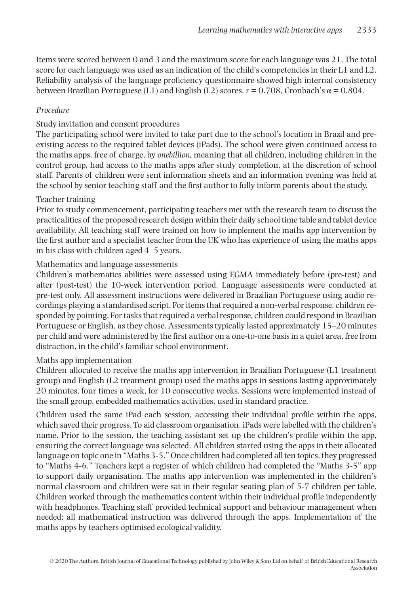Items were scored between 0 and 3 and the maximum score for each language was 21. The total score for each language was used as an indication of the child's competencies in their L1 and L2. Reliability analysis of the language proficiency questionnaire showed high internal consistency between Brazilian Portuguese (L1) and English (L2) scores, *r* = 0.708*,* Cronbach's α = 0.804.

# *Procedure*

# Study invitation and consent procedures

The participating school were invited to take part due to the school's location in Brazil and preexisting access to the required tablet devices (iPads). The school were given continued access to the maths apps, free of charge, by *onebillion,* meaning that all children, including children in the control group, had access to the maths apps after study completion, at the discretion of school staff*.* Parents of children were sent information sheets and an information evening was held at the school by senior teaching staff and the first author to fully inform parents about the study.

# Teacher training

Prior to study commencement, participating teachers met with the research team to discuss the practicalities of the proposed research design within their daily school time table and tablet device availability. All teaching staff were trained on how to implement the maths app intervention by the first author and a specialist teacher from the UK who has experience of using the maths apps in his class with children aged 4–5 years.

## Mathematics and language assessments

Children's mathematics abilities were assessed using EGMA immediately before (pre-test) and after (post-test) the 10-week intervention period. Language assessments were conducted at pre-test only. All assessment instructions were delivered in Brazilian Portuguese using audio recordings playing a standardised script. For items that required a non-verbal response, children responded by pointing. For tasks that required a verbal response, children could respond in Brazilian Portuguese or English, as they chose. Assessments typically lasted approximately 15–20 minutes per child and were administered by the first author on a one-to-one basis in a quiet area, free from distraction, in the child's familiar school environment.

## Maths app implementation

Children allocated to receive the maths app intervention in Brazilian Portuguese (L1 treatment group) and English (L2 treatment group) used the maths apps in sessions lasting approximately 20 minutes, four times a week, for 10 consecutive weeks. Sessions were implemented instead of the small group, embedded mathematics activities, used in standard practice.

Children used the same iPad each session, accessing their individual profile within the apps, which saved their progress. To aid classroom organisation, iPads were labelled with the children's name. Prior to the session, the teaching assistant set up the children's profile within the app, ensuring the correct language was selected. All children started using the apps in their allocated language on topic one in "Maths 3-5." Once children had completed all ten topics, they progressed to "Maths 4-6." Teachers kept a register of which children had completed the "Maths 3-5" app to support daily organisation. The maths app intervention was implemented in the children's normal classroom and children were sat in their regular seating plan of 5-7 children per table. Children worked through the mathematics content within their individual profile independently with headphones. Teaching staff provided technical support and behaviour management when needed; all mathematical instruction was delivered through the apps. Implementation of the maths apps by teachers optimised ecological validity.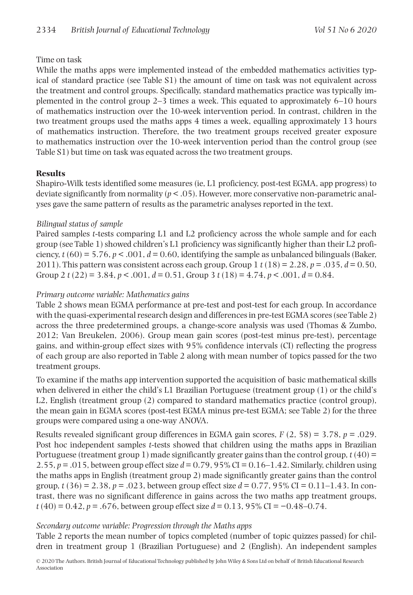# Time on task

While the maths apps were implemented instead of the embedded mathematics activities typical of standard practice (see Table S1) the amount of time on task was not equivalent across the treatment and control groups. Specifically, standard mathematics practice was typically implemented in the control group 2–3 times a week. This equated to approximately 6–10 hours of mathematics instruction over the 10-week intervention period. In contrast, children in the two treatment groups used the maths apps 4 times a week, equalling approximately 13 hours of mathematics instruction. Therefore, the two treatment groups received greater exposure to mathematics instruction over the 10-week intervention period than the control group (see Table S1) but time on task was equated across the two treatment groups.

# **Results**

Shapiro-Wilk tests identified some measures (ie, L1 proficiency, post-test EGMA, app progress) to deviate significantly from normality (*p* < .05). However, more conservative non-parametric analyses gave the same pattern of results as the parametric analyses reported in the text.

# *Bilingual status of sample*

Paired samples *t*-tests comparing L1 and L2 proficiency across the whole sample and for each group (see Table 1) showed children's L1 proficiency was significantly higher than their L2 proficiency,  $t(60) = 5.76$ ,  $p < .001$ ,  $d = 0.60$ , identifying the sample as unbalanced bilinguals (Baker, 2011). This pattern was consistent across each group, Group 1  $t$  (18) = 2.28,  $p = .035$ ,  $d = 0.50$ , Group 2  $t$  (22) = 3.84,  $p < .001$ ,  $d = 0.51$ , Group 3  $t$  (18) = 4.74,  $p < .001$ ,  $d = 0.84$ .

# *Primary outcome variable: Mathematics gains*

Table 2 shows mean EGMA performance at pre-test and post-test for each group. In accordance with the quasi-experimental research design and differences in pre-test EGMA scores (see Table 2) across the three predetermined groups, a change-score analysis was used (Thomas & Zumbo, 2012; Van Breukelen, 2006). Group mean gain scores (post-test minus pre-test), percentage gains, and within-group effect sizes with 95% confidence intervals (CI) reflecting the progress of each group are also reported in Table 2 along with mean number of topics passed for the two treatment groups.

To examine if the maths app intervention supported the acquisition of basic mathematical skills when delivered in either the child's L1 Brazilian Portuguese (treatment group (1) or the child's L2, English (treatment group (2) compared to standard mathematics practice (control group), the mean gain in EGMA scores (post-test EGMA minus pre-test EGMA; see Table 2) for the three groups were compared using a one-way ANOVA.

Results revealed significant group differences in EGMA gain scores, *F* (2, 58) = 3.78, *p* = .029. Post hoc independent samples *t*-tests showed that children using the maths apps in Brazilian Portuguese (treatment group 1) made significantly greater gains than the control group, *t* (40) = 2.55, *p* = .015, between group effect size *d* = 0.79, 95% CI = 0.16–1.42. Similarly, children using the maths apps in English (treatment group 2) made significantly greater gains than the control group,  $t(36) = 2.38$ ,  $p = .023$ , between group effect size  $d = 0.77$ , 95% CI = 0.11–1.43. In contrast, there was no significant difference in gains across the two maths app treatment groups, *t* (40) = 0.42, *p* = .676, between group effect size *d* = 0.13, 95% CI = −0.48–0.74.

## *Secondary outcome variable: Progression through the Maths apps*

Table 2 reports the mean number of topics completed (number of topic quizzes passed) for children in treatment group 1 (Brazilian Portuguese) and 2 (English). An independent samples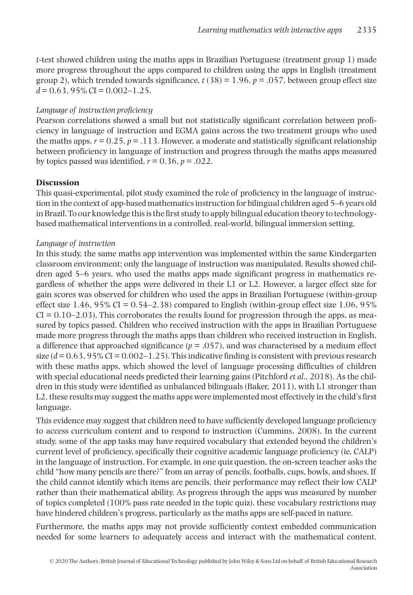*t*-test showed children using the maths apps in Brazilian Portuguese (treatment group 1) made more progress throughout the apps compared to children using the apps in English (treatment group 2), which trended towards significance,  $t(38) = 1.96$ ,  $p = .057$ , between group effect size  $d = 0.63$ , 95% CI = 0.002-1.25.

## *Language of instruction proficiency*

Pearson correlations showed a small but not statistically significant correlation between proficiency in language of instruction and EGMA gains across the two treatment groups who used the maths apps,  $r = 0.25$ ,  $p = .113$ . However, a moderate and statistically significant relationship between proficiency in language of instruction and progress through the maths apps measured by topics passed was identified,  $r = 0.36$ ,  $p = .022$ .

## **Discussion**

This quasi-experimental, pilot study examined the role of proficiency in the language of instruction in the context of app-based mathematics instruction for bilingual children aged 5–6 years old in Brazil. To our knowledge this is the first study to apply bilingual education theory to technologybased mathematical interventions in a controlled, real-world, bilingual immersion setting.

#### *Language of instruction*

In this study, the same maths app intervention was implemented within the same Kindergarten classroom environment; only the language of instruction was manipulated. Results showed children aged 5–6 years, who used the maths apps made significant progress in mathematics regardless of whether the apps were delivered in their L1 or L2. However, a larger effect size for gain scores was observed for children who used the apps in Brazilian Portuguese (within-group effect size 1.46, 95% CI =  $0.54-2.38$ ) compared to English (within-group effect size 1.06, 95%  $CI = 0.10-2.03$ . This corroborates the results found for progression through the apps, as measured by topics passed. Children who received instruction with the apps in Brazilian Portuguese made more progress through the maths apps than children who received instruction in English, a difference that approached significance ( $p = .057$ ), and was characterised by a medium effect size  $(d = 0.63, 95\% \text{ CI} = 0.002 - 1.25)$ . This indicative finding is consistent with previous research with these maths apps, which showed the level of language processing difficulties of children with special educational needs predicted their learning gains (Pitchford *et al*., 2018). As the children in this study were identified as unbalanced bilinguals (Baker, 2011), with L1 stronger than L2, these results may suggest the maths apps were implemented most effectively in the child's first language.

This evidence may suggest that children need to have sufficiently developed language proficiency to access curriculum content and to respond to instruction (Cummins, 2008). In the current study, some of the app tasks may have required vocabulary that extended beyond the children's current level of proficiency, specifically their cognitive academic language proficiency (ie, CALP) in the language of instruction. For example, in one quiz question, the on-screen teacher asks the child "how many pencils are there?" from an array of pencils, footballs, cups, bowls, and shoes. If the child cannot identify which items are pencils, their performance may reflect their low CALP rather than their mathematical ability. As progress through the apps was measured by number of topics completed (100% pass rate needed in the topic quiz), these vocabulary restrictions may have hindered children's progress, particularly as the maths apps are self-paced in nature.

Furthermore, the maths apps may not provide sufficiently context embedded communication needed for some learners to adequately access and interact with the mathematical content.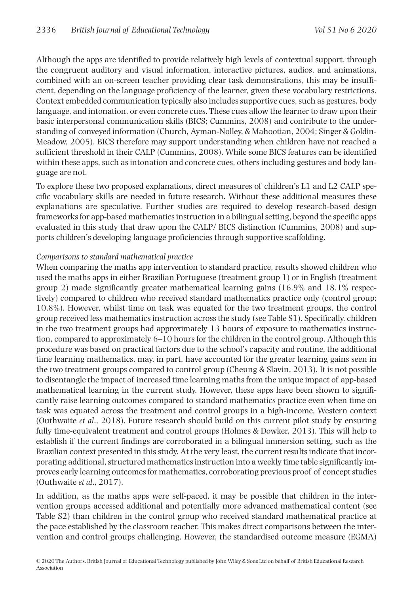Although the apps are identified to provide relatively high levels of contextual support, through the congruent auditory and visual information, interactive pictures, audios, and animations, combined with an on-screen teacher providing clear task demonstrations, this may be insufficient, depending on the language proficiency of the learner, given these vocabulary restrictions. Context embedded communication typically also includes supportive cues, such as gestures, body language, and intonation, or even concrete cues. These cues allow the learner to draw upon their basic interpersonal communication skills (BICS; Cummins, 2008) and contribute to the understanding of conveyed information (Church, Ayman-Nolley, & Mahootian, 2004; Singer & Goldin-Meadow, 2005). BICS therefore may support understanding when children have not reached a sufficient threshold in their CALP (Cummins, 2008). While some BICS features can be identified within these apps, such as intonation and concrete cues, others including gestures and body language are not.

To explore these two proposed explanations, direct measures of children's L1 and L2 CALP specific vocabulary skills are needed in future research. Without these additional measures these explanations are speculative. Further studies are required to develop research-based design frameworks for app-based mathematics instruction in a bilingual setting, beyond the specific apps evaluated in this study that draw upon the CALP/ BICS distinction (Cummins, 2008) and supports children's developing language proficiencies through supportive scaffolding.

#### *Comparisons to standard mathematical practice*

When comparing the maths app intervention to standard practice, results showed children who used the maths apps in either Brazilian Portuguese (treatment group 1) or in English (treatment group 2) made significantly greater mathematical learning gains (16.9% and 18.1% respectively) compared to children who received standard mathematics practice only (control group; 10.8%). However, whilst time on task was equated for the two treatment groups, the control group received less mathematics instruction across the study (see Table S1). Specifically, children in the two treatment groups had approximately 13 hours of exposure to mathematics instruction, compared to approximately 6–10 hours for the children in the control group. Although this procedure was based on practical factors due to the school's capacity and routine, the additional time learning mathematics, may, in part, have accounted for the greater learning gains seen in the two treatment groups compared to control group (Cheung & Slavin, 2013). It is not possible to disentangle the impact of increased time learning maths from the unique impact of app-based mathematical learning in the current study. However, these apps have been shown to significantly raise learning outcomes compared to standard mathematics practice even when time on task was equated across the treatment and control groups in a high-income, Western context (Outhwaite *et al*., 2018). Future research should build on this current pilot study by ensuring fully time-equivalent treatment and control groups (Holmes & Dowker, 2013). This will help to establish if the current findings are corroborated in a bilingual immersion setting, such as the Brazilian context presented in this study. At the very least, the current results indicate that incorporating additional, structured mathematics instruction into a weekly time table significantly improves early learning outcomes for mathematics, corroborating previous proof of concept studies (Outhwaite *et al*., 2017).

In addition, as the maths apps were self-paced, it may be possible that children in the intervention groups accessed additional and potentially more advanced mathematical content (see Table S2) than children in the control group who received standard mathematical practice at the pace established by the classroom teacher. This makes direct comparisons between the intervention and control groups challenging. However, the standardised outcome measure (EGMA)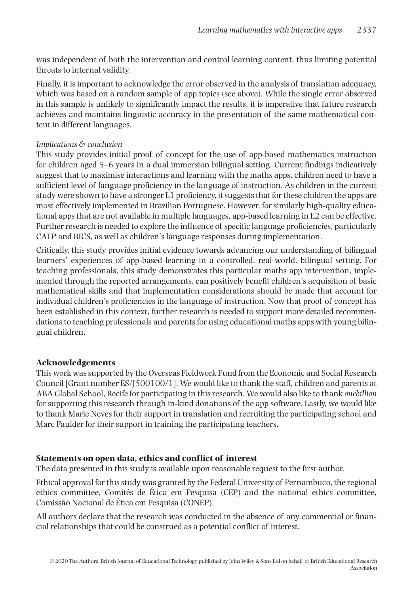was independent of both the intervention and control learning content, thus limiting potential threats to internal validity.

Finally, it is important to acknowledge the error observed in the analysis of translation adequacy, which was based on a random sample of app topics (see above). While the single error observed in this sample is unlikely to significantly impact the results, it is imperative that future research achieves and maintains linguistic accuracy in the presentation of the same mathematical content in different languages.

## *Implications & conclusion*

This study provides initial proof of concept for the use of app-based mathematics instruction for children aged 5–6 years in a dual immersion bilingual setting. Current findings indicatively suggest that to maximise interactions and learning with the maths apps, children need to have a sufficient level of language proficiency in the language of instruction. As children in the current study were shown to have a stronger L1 proficiency, it suggests that for these children the apps are most effectively implemented in Brazilian Portuguese. However, for similarly high-quality educational apps that are not available in multiple languages, app-based learning in L2 can be effective. Further research is needed to explore the influence of specific language proficiencies, particularly CALP and BICS, as well as children's language responses during implementation.

Critically, this study provides initial evidence towards advancing our understanding of bilingual learners' experiences of app-based learning in a controlled, real-world, bilingual setting. For teaching professionals, this study demonstrates this particular maths app intervention, implemented through the reported arrangements, can positively benefit children's acquisition of basic mathematical skills and that implementation considerations should be made that account for individual children's proficiencies in the language of instruction. Now that proof of concept has been established in this context, further research is needed to support more detailed recommendations to teaching professionals and parents for using educational maths apps with young bilingual children.

## **Acknowledgements**

This work was supported by the Overseas Fieldwork Fund from the Economic and Social Research Council [Grant number ES/J500100/1]. We would like to thank the staff, children and parents at ABA Global School, Recife for participating in this research. We would also like to thank *onebillion* for supporting this research through in-kind donations of the app software. Lastly, we would like to thank Marie Neves for their support in translation and recruiting the participating school and Marc Faulder for their support in training the participating teachers.

## **Statements on open data, ethics and conflict of interest**

The data presented in this study is available upon reasonable request to the first author.

Ethical approval for this study was granted by the Federal University of Pernambuco, the regional ethics committee, Comitês de Ética em Pesquisa (CEP) and the national ethics committee, Comissão Nacional de Ética em Pesquisa (CONEP).

All authors declare that the research was conducted in the absence of any commercial or financial relationships that could be construed as a potential conflict of interest.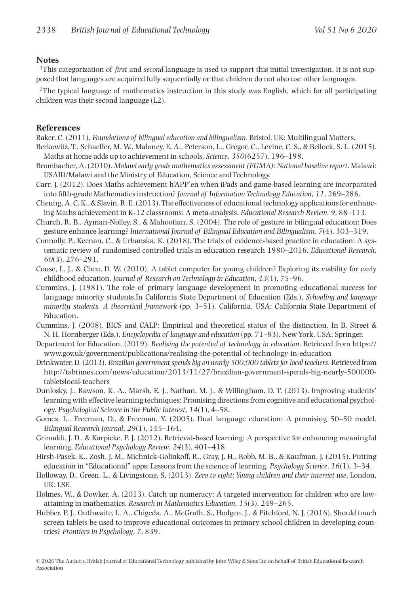#### **Notes**

1This categorization of *first* and *second* language is used to support this initial investigation. It is not supposed that languages are acquired fully sequentially or that children do not also use other languages.

2The typical language of mathematics instruction in this study was English, which for all participating children was their second language (L2).

#### **References**

Baker, C. (2011). *Foundations of bilingual education and bilingualism*. Bristol, UK: Multilingual Matters.

- Berkowitz, T., Schaeffer, M. W., Maloney, E. A., Peterson, L., Gregor, C., Levine, C. S., & Beilock, S. L. (2015). Maths at home adds up to achievement in schools. *Science*, *350*(6257), 196–198.
- Brombacher, A. (2010). *Malawi early grade mathematics assessment (EGMA): National baseline report*. Malawi: USAID/Malawi and the Ministry of Education, Science and Technology.
- Carr, J. (2012). Does Maths achievement h'APP'en when iPads and game-based learning are incorparated into fifth-grade Mathematics instruction? *Journal of Information Technology Education*, *11*, 269–286.
- Cheung, A. C. K., & Slavin, R. E. (2013). The effectiveness of educational technology applications for enhancing Maths achievement in K-12 classrooms: A meta-analysis. *Educational Research Review*, *9*, 88–113.
- Church, R. B., Ayman-Nolley, S., & Mahootian, S. (2004). The role of gesture in bilingual education: Does gesture enhance learning? *International Journal of Bilingual Education and Bilingualism*, *7*(4), 303–319.
- Connolly, P., Keenan, C., & Urbanska, K. (2018). The trials of evidence-based practice in education: A systematic review of randomised controlled trials in education research 1980–2016. *Educational Research*, *60*(3), 276–291.
- Couse, L. J., & Chen, D. W. (2010). A tablet computer for young children? Exploring its viability for early childhood education. *Journal of Research on Technology in Education*, *43*(1), 75–96.
- Cummins, J. (1981). The role of primary language development in promoting educational success for language minority students.In California State Department of Education (Eds.), *Schooling and language minority students. A theoretical framework* (pp. 3–51). California, USA: California State Department of Education.
- Cummins, J. (2008). BICS and CALP: Empirical and theoretical status of the distinction. In B. Street & N. H. Hornberger (Eds.), *Encyclopedia of language and education* (pp. 71–83). New York, USA: Springer.
- Department for Education. (2019). *Realising the potential of technology in education*. Retrieved from [https://](https://www.gov.uk/government/publications/realising-the-potential-of-technology-in-education) [www.gov.uk/government/publications/realising-the-potential-of-technology-in-education](https://www.gov.uk/government/publications/realising-the-potential-of-technology-in-education)
- Drinkwater, D. (2013). *Brazilian government spends big on nearly 500,000 tablets for local teachers*. Retrieved from [http://tabtimes.com/news/education/2013/11/27/brazilian-government-spends-big-nearly-500000](http://tabtimes.com/news/education/2013/11/27/brazilian-government-spends-big-nearly-500000-tabletslocal-teachers) [tabletslocal-teachers](http://tabtimes.com/news/education/2013/11/27/brazilian-government-spends-big-nearly-500000-tabletslocal-teachers)
- Dunlosky, J., Rawson, K. A., Marsh, E. J., Nathan, M. J., & Willingham, D. T. (2013). Improving students' learning with effective learning techniques: Promising directions from cognitive and educational psychology. *Psychological Science in the Public Interest*, *14*(1), 4–58.
- Gomez, L., Freeman, D., & Freeman, Y. (2005). Dual language education: A promising 50–50 model. *Bilingual Research Journal*, *29*(1), 145–164.
- Grimaldi, J. D., & Karpicke, P. J. (2012). Retrieval-based learning: A perspective for enhancing meaningful learning. *Educational Psychology Review*, *24*(3), 401–418.
- Hirsh-Pasek, K., Zosh, J. M., Michnick-Golinkoff, R., Gray, J. H., Robb, M. B., & Kaufman, J. (2015). Putting education in "Educational" apps: Lessons from the science of learning. *Psychology Science*, *16*(1), 3–34.
- Holloway, D., Green, L., & Livingstone, S. (2013). *Zero to eight: Young children and their internet use*. London, UK: LSE.
- Holmes, W., & Dowker, A. (2013). Catch up numeracy: A targeted intervention for children who are lowattaining in mathematics. *Research in Mathematics Education*, *15*(3), 249–265.
- Hubber, P. J., Outhwaite, L. A., Chigeda, A., McGrath, S., Hodgen, J., & Pitchford, N. J. (2016). Should touch screen tablets be used to improve educational outcomes in primary school children in developing countries? *Frontiers in Psychology*, *7*, 839.